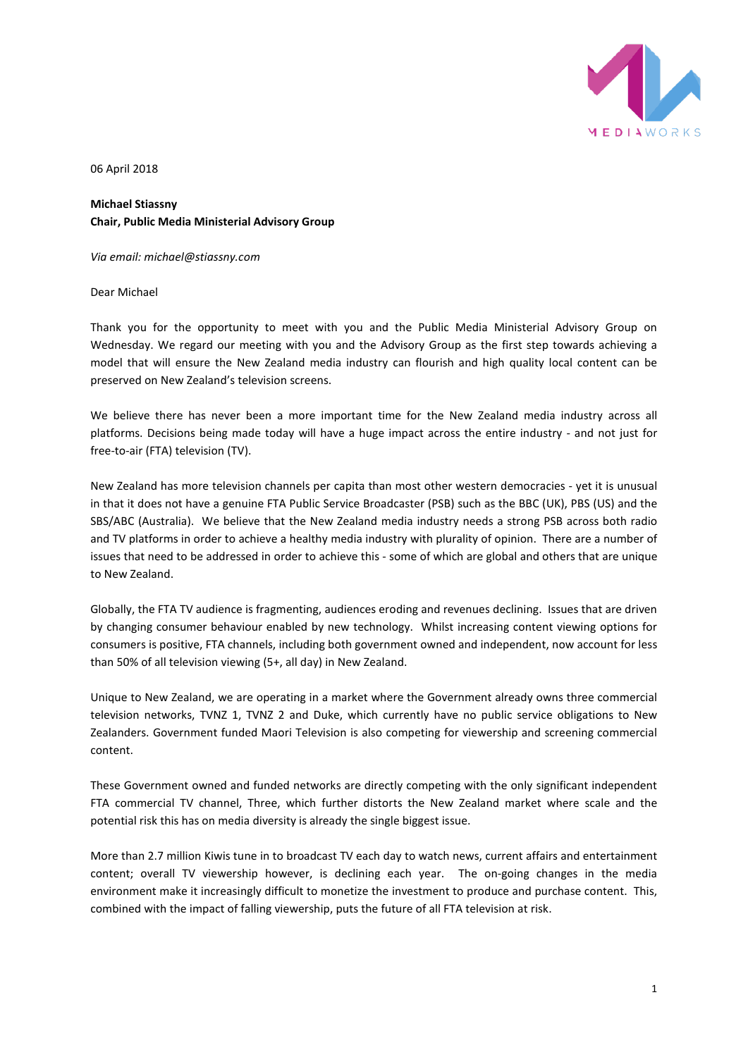

06 April 2018

**Michael Stiassny Chair, Public Media Ministerial Advisory Group** 

*Via email: michael@stiassny.com*

Dear Michael

Thank you for the opportunity to meet with you and the Public Media Ministerial Advisory Group on Wednesday. We regard our meeting with you and the Advisory Group as the first step towards achieving a model that will ensure the New Zealand media industry can flourish and high quality local content can be preserved on New Zealand's television screens.

We believe there has never been a more important time for the New Zealand media industry across all platforms. Decisions being made today will have a huge impact across the entire industry - and not just for free-to-air (FTA) television (TV).

New Zealand has more television channels per capita than most other western democracies - yet it is unusual in that it does not have a genuine FTA Public Service Broadcaster (PSB) such as the BBC (UK), PBS (US) and the SBS/ABC (Australia). We believe that the New Zealand media industry needs a strong PSB across both radio and TV platforms in order to achieve a healthy media industry with plurality of opinion. There are a number of issues that need to be addressed in order to achieve this - some of which are global and others that are unique to New Zealand.

Globally, the FTA TV audience is fragmenting, audiences eroding and revenues declining. Issues that are driven by changing consumer behaviour enabled by new technology. Whilst increasing content viewing options for consumers is positive, FTA channels, including both government owned and independent, now account for less than 50% of all television viewing (5+, all day) in New Zealand.

Unique to New Zealand, we are operating in a market where the Government already owns three commercial television networks, TVNZ 1, TVNZ 2 and Duke, which currently have no public service obligations to New Zealanders. Government funded Maori Television is also competing for viewership and screening commercial content.

These Government owned and funded networks are directly competing with the only significant independent FTA commercial TV channel, Three, which further distorts the New Zealand market where scale and the potential risk this has on media diversity is already the single biggest issue.

More than 2.7 million Kiwis tune in to broadcast TV each day to watch news, current affairs and entertainment content; overall TV viewership however, is declining each year. The on-going changes in the media environment make it increasingly difficult to monetize the investment to produce and purchase content. This, combined with the impact of falling viewership, puts the future of all FTA television at risk.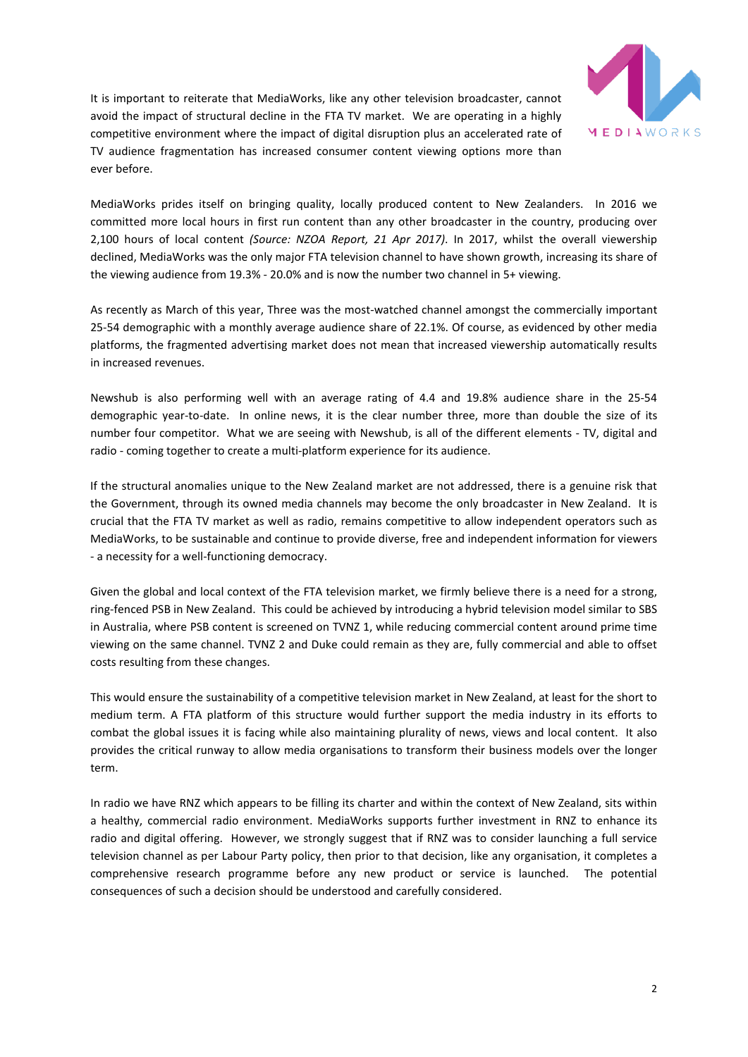

It is important to reiterate that MediaWorks, like any other television broadcaster, cannot avoid the impact of structural decline in the FTA TV market. We are operating in a highly competitive environment where the impact of digital disruption plus an accelerated rate of TV audience fragmentation has increased consumer content viewing options more than ever before.

MediaWorks prides itself on bringing quality, locally produced content to New Zealanders. In 2016 we committed more local hours in first run content than any other broadcaster in the country, producing over 2,100 hours of local content *(Source: NZOA Report, 21 Apr 2017)*. In 2017, whilst the overall viewership declined, MediaWorks was the only major FTA television channel to have shown growth, increasing its share of the viewing audience from 19.3% - 20.0% and is now the number two channel in 5+ viewing.

As recently as March of this year, Three was the most-watched channel amongst the commercially important 25-54 demographic with a monthly average audience share of 22.1%. Of course, as evidenced by other media platforms, the fragmented advertising market does not mean that increased viewership automatically results in increased revenues.

Newshub is also performing well with an average rating of 4.4 and 19.8% audience share in the 25-54 demographic year-to-date. In online news, it is the clear number three, more than double the size of its number four competitor. What we are seeing with Newshub, is all of the different elements - TV, digital and radio - coming together to create a multi-platform experience for its audience.

If the structural anomalies unique to the New Zealand market are not addressed, there is a genuine risk that the Government, through its owned media channels may become the only broadcaster in New Zealand. It is crucial that the FTA TV market as well as radio, remains competitive to allow independent operators such as MediaWorks, to be sustainable and continue to provide diverse, free and independent information for viewers - a necessity for a well-functioning democracy.

Given the global and local context of the FTA television market, we firmly believe there is a need for a strong, ring-fenced PSB in New Zealand. This could be achieved by introducing a hybrid television model similar to SBS in Australia, where PSB content is screened on TVNZ 1, while reducing commercial content around prime time viewing on the same channel. TVNZ 2 and Duke could remain as they are, fully commercial and able to offset costs resulting from these changes.

This would ensure the sustainability of a competitive television market in New Zealand, at least for the short to medium term. A FTA platform of this structure would further support the media industry in its efforts to combat the global issues it is facing while also maintaining plurality of news, views and local content. It also provides the critical runway to allow media organisations to transform their business models over the longer term.

In radio we have RNZ which appears to be filling its charter and within the context of New Zealand, sits within a healthy, commercial radio environment. MediaWorks supports further investment in RNZ to enhance its radio and digital offering. However, we strongly suggest that if RNZ was to consider launching a full service television channel as per Labour Party policy, then prior to that decision, like any organisation, it completes a comprehensive research programme before any new product or service is launched. The potential consequences of such a decision should be understood and carefully considered.